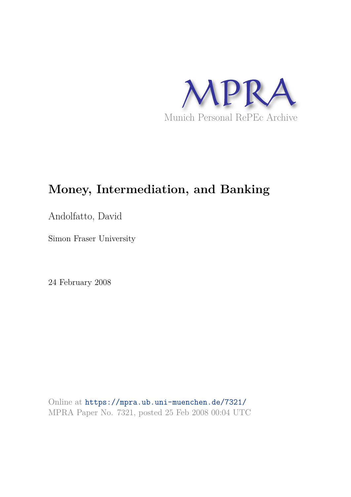

# **Money, Intermediation, and Banking**

Andolfatto, David

Simon Fraser University

24 February 2008

Online at https://mpra.ub.uni-muenchen.de/7321/ MPRA Paper No. 7321, posted 25 Feb 2008 00:04 UTC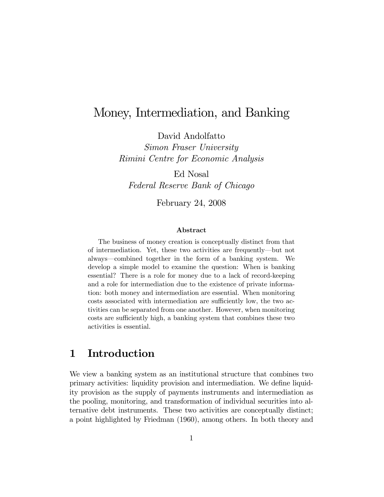## Money, Intermediation, and Banking

David Andolfatto

Simon Fraser University Rimini Centre for Economic Analysis

Ed Nosal

Federal Reserve Bank of Chicago

February 24, 2008

#### Abstract

The business of money creation is conceptually distinct from that of intermediation. Yet, these two activities are frequently–but not always–combined together in the form of a banking system. We develop a simple model to examine the question: When is banking essential? There is a role for money due to a lack of record-keeping and a role for intermediation due to the existence of private information: both money and intermediation are essential. When monitoring costs associated with intermediation are sufficiently low, the two activities can be separated from one another. However, when monitoring costs are sufficiently high, a banking system that combines these two activities is essential.

### 1 Introduction

We view a banking system as an institutional structure that combines two primary activities: liquidity provision and intermediation. We define liquidity provision as the supply of payments instruments and intermediation as the pooling, monitoring, and transformation of individual securities into alternative debt instruments. These two activities are conceptually distinct; a point highlighted by Friedman (1960), among others. In both theory and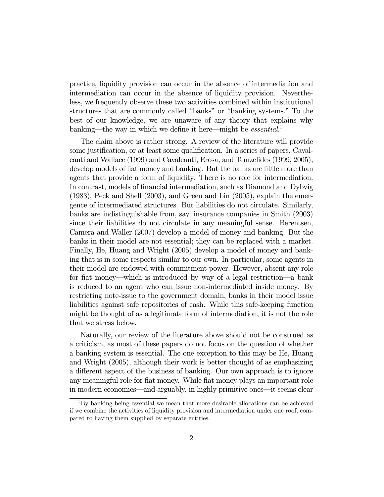practice, liquidity provision can occur in the absence of intermediation and intermediation can occur in the absence of liquidity provision. Nevertheless, we frequently observe these two activities combined within institutional structures that are commonly called "banks" or "banking systems." To the best of our knowledge, we are unaware of any theory that explains why banking—the way in which we define it here—might be *essential*.<sup>1</sup>

The claim above is rather strong. A review of the literature will provide some justification, or at least some qualification. In a series of papers, Cavalcanti and Wallace (1999) and Cavalcanti, Erosa, and Temzelides (1999, 2005), develop models of fiat money and banking. But the banks are little more than agents that provide a form of liquidity. There is no role for intermediation. In contrast, models of financial intermediation, such as Diamond and Dybvig (1983), Peck and Shell (2003), and Green and Lin (2005), explain the emergence of intermediated structures. But liabilities do not circulate. Similarly, banks are indistinguishable from, say, insurance companies in Smith (2003) since their liabilities do not circulate in any meaningful sense. Berentsen, Camera and Waller (2007) develop a model of money and banking. But the banks in their model are not essential; they can be replaced with a market. Finally, He, Huang and Wright (2005) develop a model of money and banking that is in some respects similar to our own. In particular, some agents in their model are endowed with commitment power. However, absent any role for fiat money–which is introduced by way of a legal restriction–a bank is reduced to an agent who can issue non-intermediated inside money. By restricting note-issue to the government domain, banks in their model issue liabilities against safe repositories of cash. While this safe-keeping function might be thought of as a legitimate form of intermediation, it is not the role that we stress below.

Naturally, our review of the literature above should not be construed as a criticism, as most of these papers do not focus on the question of whether a banking system is essential. The one exception to this may be He, Huang and Wright (2005), although their work is better thought of as emphasizing a different aspect of the business of banking. Our own approach is to ignore any meaningful role for fiat money. While fiat money plays an important role in modern economies–and arguably, in highly primitive ones–it seems clear

<sup>1</sup>By banking being essential we mean that more desirable allocations can be achieved if we combine the activities of liquidity provision and intermediation under one roof, compared to having them supplied by separate entities.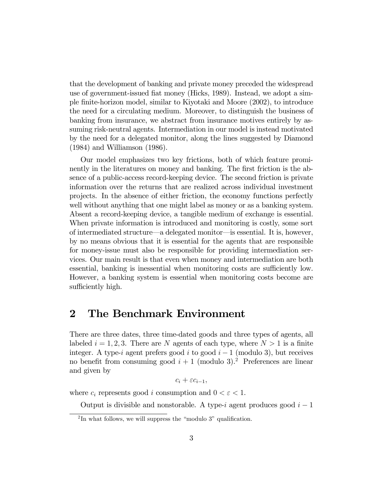that the development of banking and private money preceded the widespread use of government-issued fiat money (Hicks, 1989). Instead, we adopt a simple finite-horizon model, similar to Kiyotaki and Moore (2002), to introduce the need for a circulating medium. Moreover, to distinguish the business of banking from insurance, we abstract from insurance motives entirely by assuming risk-neutral agents. Intermediation in our model is instead motivated by the need for a delegated monitor, along the lines suggested by Diamond (1984) and Williamson (1986).

Our model emphasizes two key frictions, both of which feature prominently in the literatures on money and banking. The first friction is the absence of a public-access record-keeping device. The second friction is private information over the returns that are realized across individual investment projects. In the absence of either friction, the economy functions perfectly well without anything that one might label as money or as a banking system. Absent a record-keeping device, a tangible medium of exchange is essential. When private information is introduced and monitoring is costly, some sort of intermediated structure–a delegated monitor–is essential. It is, however, by no means obvious that it is essential for the agents that are responsible for money-issue must also be responsible for providing intermediation services. Our main result is that even when money and intermediation are both essential, banking is inessential when monitoring costs are sufficiently low. However, a banking system is essential when monitoring costs become are sufficiently high.

### 2 The Benchmark Environment

There are three dates, three time-dated goods and three types of agents, all labeled  $i = 1, 2, 3$ . There are N agents of each type, where  $N > 1$  is a finite integer. A type-i agent prefers good i to good  $i-1$  (modulo 3), but receives no benefit from consuming good  $i + 1$  (modulo 3).<sup>2</sup> Preferences are linear and given by

 $c_i + \varepsilon c_{i-1},$ 

where  $c_i$  represents good i consumption and  $0 < \varepsilon < 1$ .

Output is divisible and nonstorable. A type-i agent produces good  $i-1$ 

<sup>&</sup>lt;sup>2</sup>In what follows, we will suppress the "modulo 3" qualification.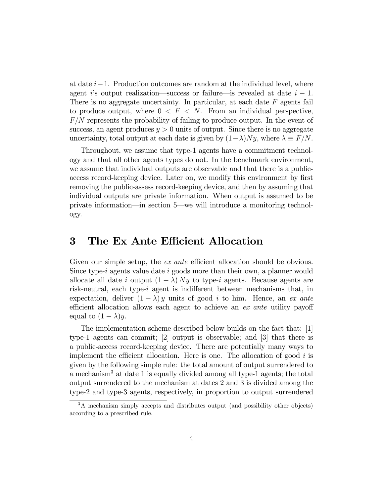at date  $i-1$ . Production outcomes are random at the individual level, where agent i's output realization—success or failure—is revealed at date  $i-1$ . There is no aggregate uncertainty. In particular, at each date  $F$  agents fail to produce output, where  $0 \leq F \leq N$ . From an individual perspective, F/N represents the probability of failing to produce output. In the event of success, an agent produces  $y > 0$  units of output. Since there is no aggregate uncertainty, total output at each date is given by  $(1-\lambda)Ny$ , where  $\lambda \equiv F/N$ .

Throughout, we assume that type-1 agents have a commitment technology and that all other agents types do not. In the benchmark environment, we assume that individual outputs are observable and that there is a publicaccess record-keeping device. Later on, we modify this environment by first removing the public-assess record-keeping device, and then by assuming that individual outputs are private information. When output is assumed to be private information–in section 5–we will introduce a monitoring technology.

#### 3 The Ex Ante Efficient Allocation

Given our simple setup, the *ex ante* efficient allocation should be obvious. Since type-i agents value date i goods more than their own, a planner would allocate all date i output  $(1 - \lambda) Ny$  to type-i agents. Because agents are risk-neutral, each type-i agent is indifferent between mechanisms that, in expectation, deliver  $(1 - \lambda)$  y units of good i to him. Hence, an ex ante efficient allocation allows each agent to achieve an ex ante utility payoff equal to  $(1 - \lambda)y$ .

The implementation scheme described below builds on the fact that: [1] type-1 agents can commit; [2] output is observable; and [3] that there is a public-access record-keeping device. There are potentially many ways to implement the efficient allocation. Here is one. The allocation of good  $i$  is given by the following simple rule: the total amount of output surrendered to a mechanism<sup>3</sup> at date 1 is equally divided among all type-1 agents; the total output surrendered to the mechanism at dates 2 and 3 is divided among the type-2 and type-3 agents, respectively, in proportion to output surrendered

<sup>3</sup>A mechanism simply accepts and distributes output (and possibility other objects) according to a prescribed rule.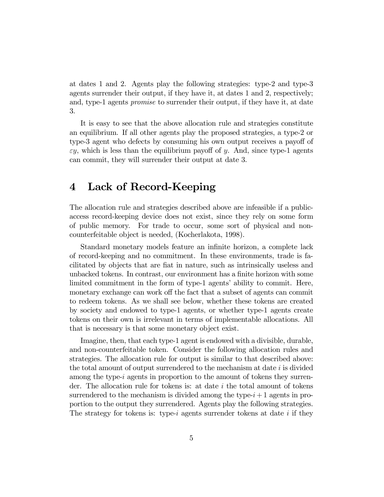at dates 1 and 2. Agents play the following strategies: type-2 and type-3 agents surrender their output, if they have it, at dates 1 and 2, respectively; and, type-1 agents promise to surrender their output, if they have it, at date 3.

It is easy to see that the above allocation rule and strategies constitute an equilibrium. If all other agents play the proposed strategies, a type-2 or type-3 agent who defects by consuming his own output receives a payoff of  $\varepsilon y$ , which is less than the equilibrium payoff of y. And, since type-1 agents can commit, they will surrender their output at date 3.

### 4 Lack of Record-Keeping

The allocation rule and strategies described above are infeasible if a publicaccess record-keeping device does not exist, since they rely on some form of public memory. For trade to occur, some sort of physical and noncounterfeitable object is needed, (Kocherlakota, 1998).

Standard monetary models feature an infinite horizon, a complete lack of record-keeping and no commitment. In these environments, trade is facilitated by objects that are fiat in nature, such as intrinsically useless and unbacked tokens. In contrast, our environment has a finite horizon with some limited commitment in the form of type-1 agents' ability to commit. Here, monetary exchange can work off the fact that a subset of agents can commit to redeem tokens. As we shall see below, whether these tokens are created by society and endowed to type-1 agents, or whether type-1 agents create tokens on their own is irrelevant in terms of implementable allocations. All that is necessary is that some monetary object exist.

Imagine, then, that each type-1 agent is endowed with a divisible, durable, and non-counterfeitable token. Consider the following allocation rules and strategies. The allocation rule for output is similar to that described above: the total amount of output surrendered to the mechanism at date i is divided among the type-i agents in proportion to the amount of tokens they surrender. The allocation rule for tokens is: at date i the total amount of tokens surrendered to the mechanism is divided among the type- $i+1$  agents in proportion to the output they surrendered. Agents play the following strategies. The strategy for tokens is: type-i agents surrender tokens at date i if they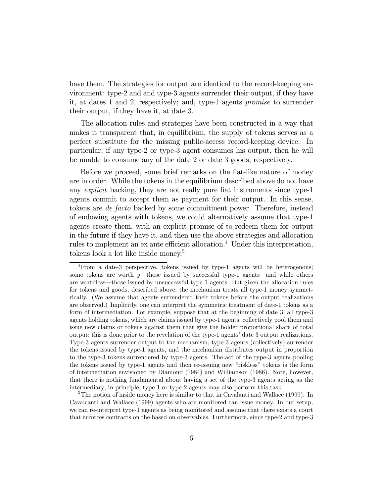have them. The strategies for output are identical to the record-keeping environment: type-2 and and type-3 agents surrender their output, if they have it, at dates 1 and 2, respectively; and, type-1 agents promise to surrender their output, if they have it, at date 3.

The allocation rules and strategies have been constructed in a way that makes it transparent that, in equilibrium, the supply of tokens serves as a perfect substitute for the missing public-access record-keeping device. In particular, if any type-2 or type-3 agent consumes his output, then he will be unable to consume any of the date 2 or date 3 goods, respectively.

Before we proceed, some brief remarks on the fiat-like nature of money are in order. While the tokens in the equilibrium described above do not have any explicit backing, they are not really pure fiat instruments since type-1 agents commit to accept them as payment for their output. In this sense, tokens are de facto backed by some commitment power. Therefore, instead of endowing agents with tokens, we could alternatively assume that type-1 agents create them, with an explicit promise of to redeem them for output in the future if they have it, and then use the above strategies and allocation rules to implement an ex ante efficient allocation.<sup>4</sup> Under this interpretation, tokens look a lot like inside money.<sup>5</sup>

<sup>4</sup>From a date-3 perspective, tokens issued by type-1 agents will be heterogenous; some tokens are worth  $y$ —those issued by successful type-1 agents—and while others are worthless–those issued by unsuccessful type-1 agents. But given the allocation rules for tokens and goods, described above, the mechanism treats all type-1 money symmetrically. (We assume that agents surrendered their tokens before the output realizations are observed.) Implicitly, one can interpret the symmetric treatment of date-1 tokens as a form of intermediation. For example, suppose that at the beginning of date 3, all type-3 agents holding tokens, which are claims issued by type-1 agents, collectively pool them and issue new claims or tokens against them that give the holder proportional share of total output; this is done prior to the revelation of the type-1 agents' date 3 output realizations. Type-3 agents surrender output to the mechanism, type-3 agents (collectively) surrender the tokens issued by type-1 agents, and the mechanism distributes output in proportion to the type-3 tokens surrendered by type-3 agents. The act of the type-3 agents pooling the tokens issued by type-1 agents and then re-issuing new "riskless" tokens is the form of intermediation envisioned by Diamond (1984) and Williamson (1986). Note, however, that there is nothing fundamental about having a set of the type-3 agents acting as the intermediary; in principle, type-1 or type-2 agents may also perform this task.

<sup>&</sup>lt;sup>5</sup>The notion of inside money here is similar to that in Cavalanti and Wallace (1999). In Cavalcanti and Wallace (1999) agents who are monitored can issue money. In our setup, we can re-interpret type-1 agents as being monitored and assume that there exists a court that enforces contracts on the based on observables. Furthermore, since type-2 and type-3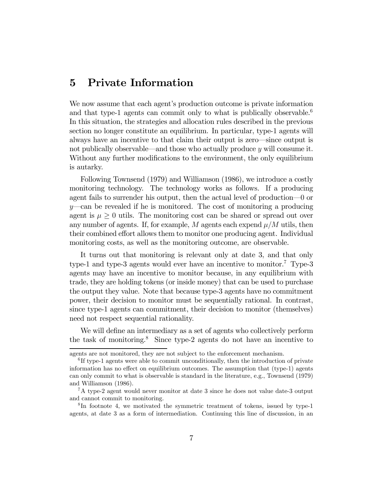#### 5 Private Information

We now assume that each agent's production outcome is private information and that type-1 agents can commit only to what is publically observable.<sup>6</sup> In this situation, the strategies and allocation rules described in the previous section no longer constitute an equilibrium. In particular, type-1 agents will always have an incentive to that claim their output is zero–since output is not publically observable—and those who actually produce  $y$  will consume it. Without any further modifications to the environment, the only equilibrium is autarky.

Following Townsend (1979) and Williamson (1986), we introduce a costly monitoring technology. The technology works as follows. If a producing agent fails to surrender his output, then the actual level of production–0 or  $y$ —can be revealed if he is monitored. The cost of monitoring a producing agent is  $\mu \geq 0$  utils. The monitoring cost can be shared or spread out over any number of agents. If, for example, M agents each expend  $\mu/M$  utils, then their combined effort allows them to monitor one producing agent. Individual monitoring costs, as well as the monitoring outcome, are observable.

It turns out that monitoring is relevant only at date 3, and that only type-1 and type-3 agents would ever have an incentive to monitor.<sup>7</sup> Type-3 agents may have an incentive to monitor because, in any equilibrium with trade, they are holding tokens (or inside money) that can be used to purchase the output they value. Note that because type-3 agents have no commitment power, their decision to monitor must be sequentially rational. In contrast, since type-1 agents can commitment, their decision to monitor (themselves) need not respect sequential rationality.

We will define an intermediary as a set of agents who collectively perform the task of monitoring.<sup>8</sup> Since type-2 agents do not have an incentive to

agents are not monitored, they are not subject to the enforcement mechanism.

<sup>&</sup>lt;sup>6</sup>If type-1 agents were able to commit unconditionally, then the introduction of private information has no effect on equilibrium outcomes. The assumption that (type-1) agents can only commit to what is observable is standard in the literature, e.g., Townsend (1979) and Williamson (1986).

<sup>7</sup>A type-2 agent would never monitor at date 3 since he does not value date-3 output and cannot commit to monitoring.

<sup>8</sup> In footnote 4, we motivated the symmetric treatment of tokens, issued by type-1 agents, at date 3 as a form of intermediation. Continuing this line of discussion, in an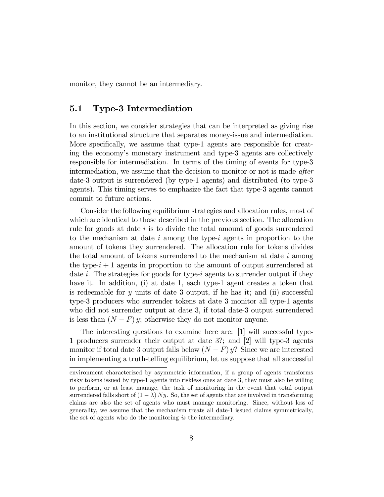monitor, they cannot be an intermediary.

#### 5.1 Type-3 Intermediation

In this section, we consider strategies that can be interpreted as giving rise to an institutional structure that separates money-issue and intermediation. More specifically, we assume that type-1 agents are responsible for creating the economy's monetary instrument and type-3 agents are collectively responsible for intermediation. In terms of the timing of events for type-3 intermediation, we assume that the decision to monitor or not is made after date-3 output is surrendered (by type-1 agents) and distributed (to type-3 agents). This timing serves to emphasize the fact that type-3 agents cannot commit to future actions.

Consider the following equilibrium strategies and allocation rules, most of which are identical to those described in the previous section. The allocation rule for goods at date i is to divide the total amount of goods surrendered to the mechanism at date  $i$  among the type- $i$  agents in proportion to the amount of tokens they surrendered. The allocation rule for tokens divides the total amount of tokens surrendered to the mechanism at date  $i$  among the type- $i + 1$  agents in proportion to the amount of output surrendered at date i. The strategies for goods for type-i agents to surrender output if they have it. In addition, (i) at date 1, each type-1 agent creates a token that is redeemable for  $y$  units of date 3 output, if he has it; and (ii) successful type-3 producers who surrender tokens at date 3 monitor all type-1 agents who did not surrender output at date 3, if total date-3 output surrendered is less than  $(N - F)$  y; otherwise they do not monitor anyone.

The interesting questions to examine here are: [1] will successful type-1 producers surrender their output at date 3?; and [2] will type-3 agents monitor if total date 3 output falls below  $(N - F) y$ ? Since we are interested in implementing a truth-telling equilibrium, let us suppose that all successful

environment characterized by asymmetric information, if a group of agents transforms risky tokens issued by type-1 agents into riskless ones at date 3, they must also be willing to perform, or at least manage, the task of monitoring in the event that total output surrendered falls short of  $(1 - \lambda) Ny$ . So, the set of agents that are involved in transforming claims are also the set of agents who must manage monitoring. Since, without loss of generality, we assume that the mechanism treats all date-1 issued claims symmetrically, the set of agents who do the monitoring is the intermediary.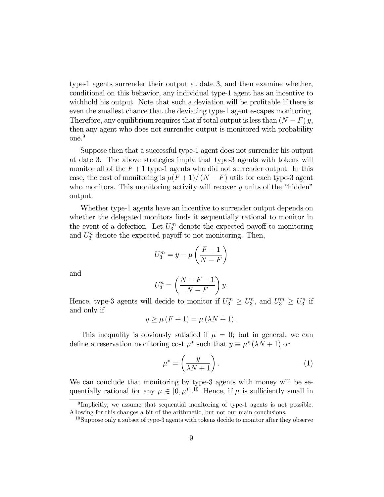type-1 agents surrender their output at date 3, and then examine whether, conditional on this behavior, any individual type-1 agent has an incentive to withhold his output. Note that such a deviation will be profitable if there is even the smallest chance that the deviating type-1 agent escapes monitoring. Therefore, any equilibrium requires that if total output is less than  $(N - F) y$ , then any agent who does not surrender output is monitored with probability one.<sup>9</sup>

Suppose then that a successful type-1 agent does not surrender his output at date 3. The above strategies imply that type-3 agents with tokens will monitor all of the  $F + 1$  type-1 agents who did not surrender output. In this case, the cost of monitoring is  $\mu(F+1)/(N-F)$  utils for each type-3 agent who monitors. This monitoring activity will recover  $y$  units of the "hidden" output.

Whether type-1 agents have an incentive to surrender output depends on whether the delegated monitors finds it sequentially rational to monitor in the event of a defection. Let  $U_3^m$  denote the expected payoff to monitoring and  $U_3^n$  denote the expected payoff to not monitoring. Then,

$$
U_3^m = y - \mu \left(\frac{F+1}{N-F}\right)
$$

and

$$
U_3^n = \left(\frac{N - F - 1}{N - F}\right)y.
$$

Hence, type-3 agents will decide to monitor if  $U_3^m \geq U_3^n$ , and  $U_3^m \geq U_3^n$  if and only if

$$
y \ge \mu (F + 1) = \mu (\lambda N + 1).
$$

This inequality is obviously satisfied if  $\mu = 0$ ; but in general, we can define a reservation monitoring cost  $\mu^*$  such that  $y \equiv \mu^* (\lambda N + 1)$  or

$$
\mu^* = \left(\frac{y}{\lambda N + 1}\right). \tag{1}
$$

We can conclude that monitoring by type-3 agents with money will be sequentially rational for any  $\mu \in [0, \mu^*]$ .<sup>10</sup> Hence, if  $\mu$  is sufficiently small in

<sup>&</sup>lt;sup>9</sup>Implicitly, we assume that sequential monitoring of type-1 agents is not possible. Allowing for this changes a bit of the arithmetic, but not our main conclusions.

 $10$ Suppose only a subset of type-3 agents with tokens decide to monitor after they observe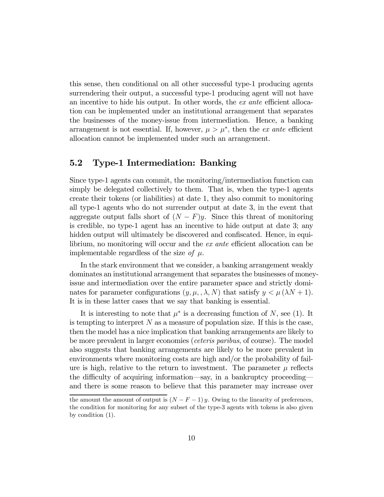this sense, then conditional on all other successful type-1 producing agents surrendering their output, a successful type-1 producing agent will not have an incentive to hide his output. In other words, the ex ante efficient allocation can be implemented under an institutional arrangement that separates the businesses of the money-issue from intermediation. Hence, a banking arrangement is not essential. If, however,  $\mu > \mu^*$ , then the *ex ante* efficient allocation cannot be implemented under such an arrangement.

#### 5.2 Type-1 Intermediation: Banking

Since type-1 agents can commit, the monitoring/intermediation function can simply be delegated collectively to them. That is, when the type-1 agents create their tokens (or liabilities) at date 1, they also commit to monitoring all type-1 agents who do not surrender output at date 3, in the event that aggregate output falls short of  $(N - F)y$ . Since this threat of monitoring is credible, no type-1 agent has an incentive to hide output at date 3; any hidden output will ultimately be discovered and confiscated. Hence, in equilibrium, no monitoring will occur and the ex ante efficient allocation can be implementable regardless of the size of  $\mu$ .

In the stark environment that we consider, a banking arrangement weakly dominates an institutional arrangement that separates the businesses of moneyissue and intermediation over the entire parameter space and strictly dominates for parameter configurations  $(y, \mu, \lambda, N)$  that satisfy  $y < \mu (\lambda N + 1)$ . It is in these latter cases that we say that banking is essential.

It is interesting to note that  $\mu^*$  is a decreasing function of N, see (1). It is tempting to interpret  $N$  as a measure of population size. If this is the case, then the model has a nice implication that banking arrangements are likely to be more prevalent in larger economies (ceteris paribus, of course). The model also suggests that banking arrangements are likely to be more prevalent in environments where monitoring costs are high and/or the probability of failure is high, relative to the return to investment. The parameter  $\mu$  reflects the difficulty of acquiring information–say, in a bankruptcy proceeding– and there is some reason to believe that this parameter may increase over

the amount the amount of output is  $(N - F - 1) y$ . Owing to the linearity of preferences, the condition for monitoring for any subset of the type-3 agents with tokens is also given by condition (1).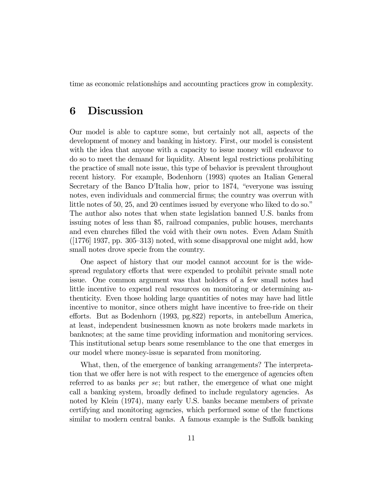time as economic relationships and accounting practices grow in complexity.

#### 6 Discussion

Our model is able to capture some, but certainly not all, aspects of the development of money and banking in history. First, our model is consistent with the idea that anyone with a capacity to issue money will endeavor to do so to meet the demand for liquidity. Absent legal restrictions prohibiting the practice of small note issue, this type of behavior is prevalent throughout recent history. For example, Bodenhorn (1993) quotes an Italian General Secretary of the Banco D'Italia how, prior to 1874, "everyone was issuing notes, even individuals and commercial firms; the country was overrun with little notes of 50, 25, and 20 centimes issued by everyone who liked to do so." The author also notes that when state legislation banned U.S. banks from issuing notes of less than \$5, railroad companies, public houses, merchants and even churches filled the void with their own notes. Even Adam Smith  $([1776] 1937, pp. 305–313)$  noted, with some disapproval one might add, how small notes drove specie from the country.

One aspect of history that our model cannot account for is the widespread regulatory efforts that were expended to prohibit private small note issue. One common argument was that holders of a few small notes had little incentive to expend real resources on monitoring or determining authenticity. Even those holding large quantities of notes may have had little incentive to monitor, since others might have incentive to free-ride on their efforts. But as Bodenhorn (1993, pg.822) reports, in antebellum America, at least, independent businessmen known as note brokers made markets in banknotes; at the same time providing information and monitoring services. This institutional setup bears some resemblance to the one that emerges in our model where money-issue is separated from monitoring.

What, then, of the emergence of banking arrangements? The interpretation that we offer here is not with respect to the emergence of agencies often referred to as banks per se; but rather, the emergence of what one might call a banking system, broadly defined to include regulatory agencies. As noted by Klein (1974), many early U.S. banks became members of private certifying and monitoring agencies, which performed some of the functions similar to modern central banks. A famous example is the Suffolk banking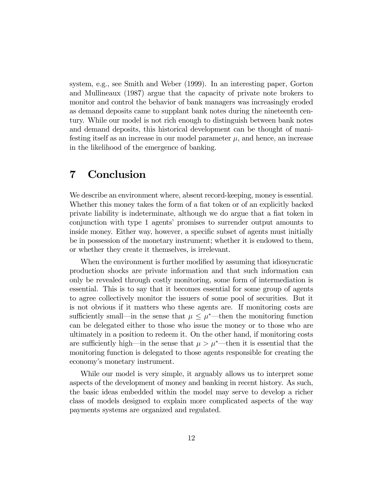system, e.g., see Smith and Weber (1999). In an interesting paper, Gorton and Mullineaux (1987) argue that the capacity of private note brokers to monitor and control the behavior of bank managers was increasingly eroded as demand deposits came to supplant bank notes during the nineteenth century. While our model is not rich enough to distinguish between bank notes and demand deposits, this historical development can be thought of manifesting itself as an increase in our model parameter  $\mu$ , and hence, an increase in the likelihood of the emergence of banking.

#### 7 Conclusion

We describe an environment where, absent record-keeping, money is essential. Whether this money takes the form of a fiat token or of an explicitly backed private liability is indeterminate, although we do argue that a fiat token in conjunction with type 1 agents' promises to surrender output amounts to inside money. Either way, however, a specific subset of agents must initially be in possession of the monetary instrument; whether it is endowed to them, or whether they create it themselves, is irrelevant.

When the environment is further modified by assuming that idiosyncratic production shocks are private information and that such information can only be revealed through costly monitoring, some form of intermediation is essential. This is to say that it becomes essential for some group of agents to agree collectively monitor the issuers of some pool of securities. But it is not obvious if it matters who these agents are. If monitoring costs are sufficiently small—in the sense that  $\mu \leq \mu^*$ —then the monitoring function can be delegated either to those who issue the money or to those who are ultimately in a position to redeem it. On the other hand, if monitoring costs are sufficiently high—in the sense that  $\mu > \mu^*$ —then it is essential that the monitoring function is delegated to those agents responsible for creating the economy's monetary instrument.

While our model is very simple, it arguably allows us to interpret some aspects of the development of money and banking in recent history. As such, the basic ideas embedded within the model may serve to develop a richer class of models designed to explain more complicated aspects of the way payments systems are organized and regulated.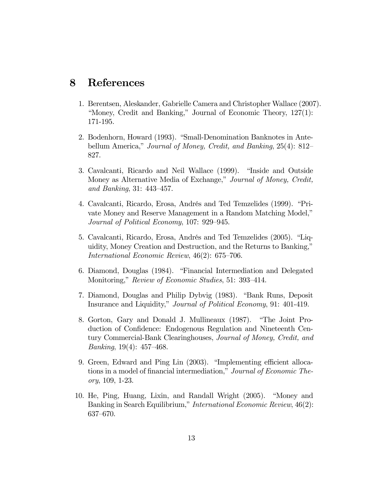#### 8 References

- 1. Berentsen, Aleskander, Gabrielle Camera and Christopher Wallace (2007). "Money, Credit and Banking," Journal of Economic Theory, 127(1): 171-195.
- 2. Bodenhorn, Howard (1993). "Small-Denomination Banknotes in Antebellum America," Journal of Money, Credit, and Banking, 25(4): 812– 827.
- 3. Cavalcanti, Ricardo and Neil Wallace (1999). "Inside and Outside Money as Alternative Media of Exchange," Journal of Money, Credit, and Banking, 31: 443—457.
- 4. Cavalcanti, Ricardo, Erosa, Andrés and Ted Temzelides (1999). "Private Money and Reserve Management in a Random Matching Model," Journal of Political Economy, 107: 929—945.
- 5. Cavalcanti, Ricardo, Erosa, Andrés and Ted Temzelides (2005). "Liquidity, Money Creation and Destruction, and the Returns to Banking," International Economic Review, 46(2): 675—706.
- 6. Diamond, Douglas (1984). "Financial Intermediation and Delegated Monitoring," Review of Economic Studies, 51: 393—414.
- 7. Diamond, Douglas and Philip Dybvig (1983). "Bank Runs, Deposit Insurance and Liquidity," Journal of Political Economy, 91: 401-419.
- 8. Gorton, Gary and Donald J. Mullineaux (1987). "The Joint Production of Confidence: Endogenous Regulation and Nineteenth Century Commercial-Bank Clearinghouses, Journal of Money, Credit, and *Banking*, 19(4): 457–468.
- 9. Green, Edward and Ping Lin (2003). "Implementing efficient allocations in a model of financial intermediation," Journal of Economic Theory, 109, 1-23.
- 10. He, Ping, Huang, Lixin, and Randall Wright (2005). "Money and Banking in Search Equilibrium," International Economic Review, 46(2): 637—670.